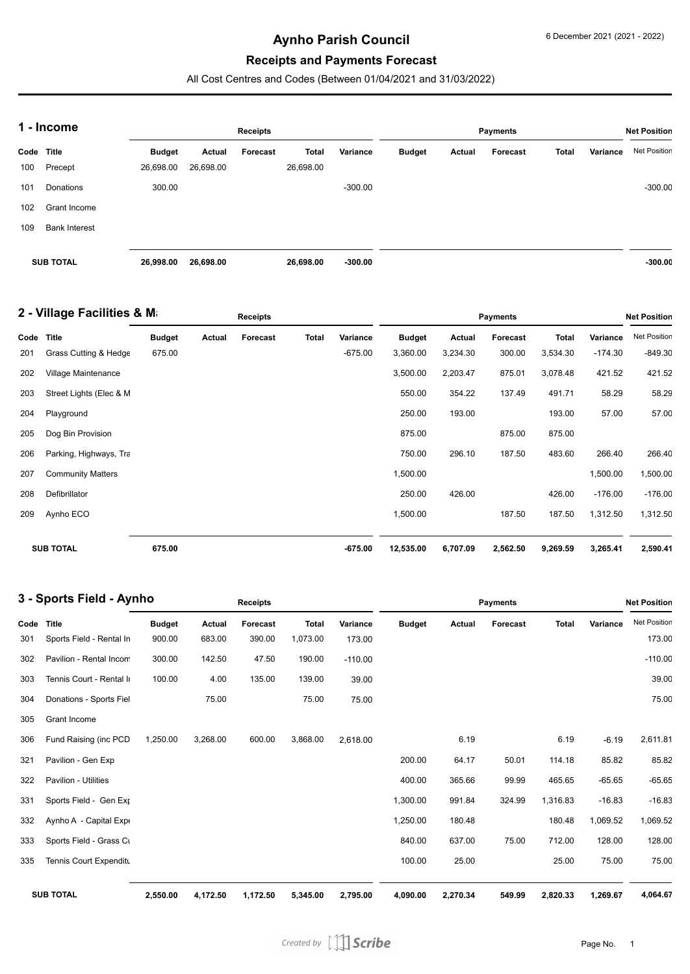# **Aynho Parish Council**

#### **Receipts and Payments Forecast**

All Cost Centres and Codes (Between 01/04/2021 and 31/03/2022)

| 1 - Income       |                      |               |           | <b>Receipts</b> |              |           | <b>Net Position</b> |        |          |              |          |              |
|------------------|----------------------|---------------|-----------|-----------------|--------------|-----------|---------------------|--------|----------|--------------|----------|--------------|
| Code             | <b>Title</b>         | <b>Budget</b> | Actual    | Forecast        | <b>Total</b> | Variance  | <b>Budget</b>       | Actual | Forecast | <b>Total</b> | Variance | Net Position |
| 100              | Precept              | 26,698.00     | 26,698.00 |                 | 26,698.00    |           |                     |        |          |              |          |              |
| 101              | Donations            | 300.00        |           |                 |              | $-300.00$ |                     |        |          |              |          | $-300.00$    |
| 102              | Grant Income         |               |           |                 |              |           |                     |        |          |              |          |              |
| 109              | <b>Bank Interest</b> |               |           |                 |              |           |                     |        |          |              |          |              |
|                  |                      |               |           |                 |              |           |                     |        |          |              |          |              |
| <b>SUB TOTAL</b> |                      | 26,998.00     | 26,698.00 |                 | 26,698.00    | $-300.00$ |                     |        |          |              |          | $-300.00$    |

| 2 - Village Facilities & Ma |                          | <b>Receipts</b> |        |                 |       |           |               | <b>Net Position</b> |          |              |           |                     |
|-----------------------------|--------------------------|-----------------|--------|-----------------|-------|-----------|---------------|---------------------|----------|--------------|-----------|---------------------|
| Code                        | <b>Title</b>             | <b>Budget</b>   | Actual | <b>Forecast</b> | Total | Variance  | <b>Budget</b> | Actual              | Forecast | <b>Total</b> | Variance  | <b>Net Position</b> |
| 201                         | Grass Cutting & Hedge    | 675.00          |        |                 |       | $-675.00$ | 3,360.00      | 3,234.30            | 300.00   | 3,534.30     | $-174.30$ | $-849.30$           |
| 202                         | Village Maintenance      |                 |        |                 |       |           | 3,500.00      | 2,203.47            | 875.01   | 3,078.48     | 421.52    | 421.52              |
| 203                         | Street Lights (Elec & M  |                 |        |                 |       |           | 550.00        | 354.22              | 137.49   | 491.71       | 58.29     | 58.29               |
| 204                         | Playground               |                 |        |                 |       |           | 250.00        | 193.00              |          | 193.00       | 57.00     | 57.00               |
| 205                         | Dog Bin Provision        |                 |        |                 |       |           | 875.00        |                     | 875.00   | 875.00       |           |                     |
| 206                         | Parking, Highways, Tra   |                 |        |                 |       |           | 750.00        | 296.10              | 187.50   | 483.60       | 266.40    | 266.40              |
| 207                         | <b>Community Matters</b> |                 |        |                 |       |           | 1,500.00      |                     |          |              | 1,500.00  | 1,500.00            |
| 208                         | Defibrillator            |                 |        |                 |       |           | 250.00        | 426.00              |          | 426.00       | $-176.00$ | $-176.00$           |
| 209                         | Aynho ECO                |                 |        |                 |       |           | 1,500.00      |                     | 187.50   | 187.50       | 1,312.50  | 1,312.50            |
|                             | <b>SUB TOTAL</b>         | 675.00          |        |                 |       | $-675.00$ | 12,535.00     | 6,707.09            | 2,562.50 | 9,269.59     | 3,265.41  | 2,590.41            |

| 3 - Sports Field - Aynho |                             |               |               | <b>Receipts</b> |              |           |               |          | <b>Net Position</b> |              |          |                     |
|--------------------------|-----------------------------|---------------|---------------|-----------------|--------------|-----------|---------------|----------|---------------------|--------------|----------|---------------------|
| Code                     | <b>Title</b>                | <b>Budget</b> | <b>Actual</b> | Forecast        | <b>Total</b> | Variance  | <b>Budget</b> | Actual   | Forecast            | <b>Total</b> | Variance | <b>Net Position</b> |
| 301                      | Sports Field - Rental In    | 900.00        | 683.00        | 390.00          | 1,073.00     | 173.00    |               |          |                     |              |          | 173.00              |
| 302                      | Pavilion - Rental Incom     | 300.00        | 142.50        | 47.50           | 190.00       | $-110.00$ |               |          |                     |              |          | $-110.00$           |
| 303                      | Tennis Court - Rental II    | 100.00        | 4.00          | 135.00          | 139.00       | 39.00     |               |          |                     |              |          | 39.00               |
| 304                      | Donations - Sports Fiel     |               | 75.00         |                 | 75.00        | 75.00     |               |          |                     |              |          | 75.00               |
| 305                      | Grant Income                |               |               |                 |              |           |               |          |                     |              |          |                     |
| 306                      | Fund Raising (inc PCD       | 1,250.00      | 3,268.00      | 600.00          | 3,868.00     | 2,618.00  |               | 6.19     |                     | 6.19         | $-6.19$  | 2,611.81            |
| 321                      | Pavilion - Gen Exp          |               |               |                 |              |           | 200.00        | 64.17    | 50.01               | 114.18       | 85.82    | 85.82               |
| 322                      | <b>Pavilion - Utilities</b> |               |               |                 |              |           | 400.00        | 365.66   | 99.99               | 465.65       | $-65.65$ | $-65.65$            |
| 331                      | Sports Field - Gen Exp      |               |               |                 |              |           | 1,300.00      | 991.84   | 324.99              | 1,316.83     | $-16.83$ | $-16.83$            |
| 332                      | Aynho A - Capital Expe      |               |               |                 |              |           | 1,250.00      | 180.48   |                     | 180.48       | 1,069.52 | 1,069.52            |
| 333                      | Sports Field - Grass Cu     |               |               |                 |              |           | 840.00        | 637.00   | 75.00               | 712.00       | 128.00   | 128.00              |
| 335                      | Tennis Court Expenditu      |               |               |                 |              |           | 100.00        | 25.00    |                     | 25.00        | 75.00    | 75.00               |
|                          | <b>SUB TOTAL</b>            | 2,550.00      | 4,172.50      | 1,172.50        | 5,345.00     | 2,795.00  | 4,090.00      | 2,270.34 | 549.99              | 2,820.33     | 1,269.67 | 4,064.67            |